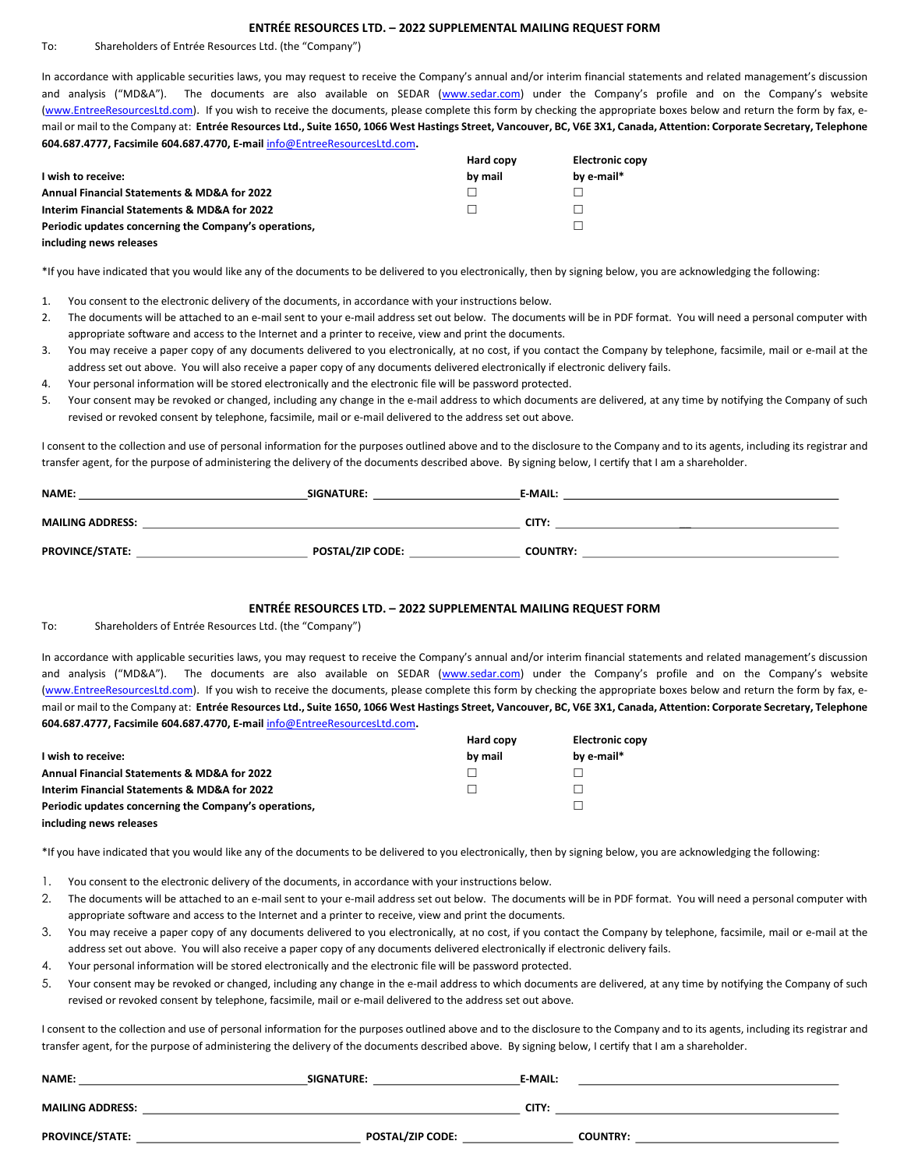## ENTRÉE RESOURCES LTD. – 2022 SUPPLEMENTAL MAILING REQUEST FORM

To: Shareholders of Entrée Resources Ltd. (the "Company")

In accordance with applicable securities laws, you may request to receive the Company's annual and/or interim financial statements and related management's discussion and analysis ("MD&A"). The documents are also available on SEDAR (www.sedar.com) under the Company's profile and on the Company's website (www.EntreeResourcesLtd.com). If you wish to receive the documents, please complete this form by checking the appropriate boxes below and return the form by fax, email or mail to the Company at: Entrée Resources Ltd., Suite 1650, 1066 West Hastings Street, Vancouver, BC, V6E 3X1, Canada, Attention: Corporate Secretary, Telephone 604.687.4777, Facsimile 604.687.4770, E-mail info@EntreeResourcesLtd.com.

|                                                       | Hard copy | <b>Electronic copy</b> |
|-------------------------------------------------------|-----------|------------------------|
| I wish to receive:                                    | by mail   | by e-mail*             |
| Annual Financial Statements & MD&A for 2022           |           |                        |
| Interim Financial Statements & MD&A for 2022          |           |                        |
| Periodic updates concerning the Company's operations, |           |                        |
| including news releases                               |           |                        |

\*If you have indicated that you would like any of the documents to be delivered to you electronically, then by signing below, you are acknowledging the following:

- 1. You consent to the electronic delivery of the documents, in accordance with your instructions below.
- 2. The documents will be attached to an e-mail sent to your e-mail address set out below. The documents will be in PDF format. You will need a personal computer with appropriate software and access to the Internet and a printer to receive, view and print the documents.
- 3. You may receive a paper copy of any documents delivered to you electronically, at no cost, if you contact the Company by telephone, facsimile, mail or e-mail at the address set out above. You will also receive a paper copy of any documents delivered electronically if electronic delivery fails.
- 4. Your personal information will be stored electronically and the electronic file will be password protected.
- 5. Your consent may be revoked or changed, including any change in the e-mail address to which documents are delivered, at any time by notifying the Company of such revised or revoked consent by telephone, facsimile, mail or e-mail delivered to the address set out above.

I consent to the collection and use of personal information for the purposes outlined above and to the disclosure to the Company and to its agents, including its registrar and transfer agent, for the purpose of administering the delivery of the documents described above. By signing below, I certify that I am a shareholder.

| <b>NAME:</b>            | SIGNATURE:              | <b>E-MAIL:</b>  |
|-------------------------|-------------------------|-----------------|
| <b>MAILING ADDRESS:</b> |                         | CITY:           |
| <b>PROVINCE/STATE:</b>  | <b>POSTAL/ZIP CODE:</b> | <b>COUNTRY:</b> |

## ENTRÉE RESOURCES LTD. – 2022 SUPPLEMENTAL MAILING REQUEST FORM

To: Shareholders of Entrée Resources Ltd. (the "Company")

In accordance with applicable securities laws, you may request to receive the Company's annual and/or interim financial statements and related management's discussion and analysis ("MD&A"). The documents are also available on SEDAR (www.sedar.com) under the Company's profile and on the Company's website (www.EntreeResourcesLtd.com). If you wish to receive the documents, please complete this form by checking the appropriate boxes below and return the form by fax, email or mail to the Company at: Entrée Resources Ltd., Suite 1650, 1066 West Hastings Street, Vancouver, BC, V6E 3X1, Canada, Attention: Corporate Secretary, Telephone 604.687.4777, Facsimile 604.687.4770, E-mail info@EntreeResourcesLtd.com.

|                                                       | Hard copy | <b>Electronic copy</b> |
|-------------------------------------------------------|-----------|------------------------|
| I wish to receive:                                    | by mail   | by e-mail*             |
| Annual Financial Statements & MD&A for 2022           |           |                        |
| Interim Financial Statements & MD&A for 2022          |           |                        |
| Periodic updates concerning the Company's operations, |           |                        |
| including news releases                               |           |                        |

\*If you have indicated that you would like any of the documents to be delivered to you electronically, then by signing below, you are acknowledging the following:

- 1. You consent to the electronic delivery of the documents, in accordance with your instructions below.
- 2. The documents will be attached to an e-mail sent to your e-mail address set out below. The documents will be in PDF format. You will need a personal computer with appropriate software and access to the Internet and a printer to receive, view and print the documents.
- 3. You may receive a paper copy of any documents delivered to you electronically, at no cost, if you contact the Company by telephone, facsimile, mail or e-mail at the address set out above. You will also receive a paper copy of any documents delivered electronically if electronic delivery fails.
- 4. Your personal information will be stored electronically and the electronic file will be password protected.
- 5. Your consent may be revoked or changed, including any change in the e-mail address to which documents are delivered, at any time by notifying the Company of such revised or revoked consent by telephone, facsimile, mail or e-mail delivered to the address set out above.

I consent to the collection and use of personal information for the purposes outlined above and to the disclosure to the Company and to its agents, including its registrar and transfer agent, for the purpose of administering the delivery of the documents described above. By signing below, I certify that I am a shareholder.

| <b>NAME:</b>            | SIGNATURE:              | <b>E-MAIL:</b> |                 |
|-------------------------|-------------------------|----------------|-----------------|
| <b>MAILING ADDRESS:</b> |                         | CITY:          |                 |
| <b>PROVINCE/STATE:</b>  | <b>POSTAL/ZIP CODE:</b> |                | <b>COUNTRY:</b> |